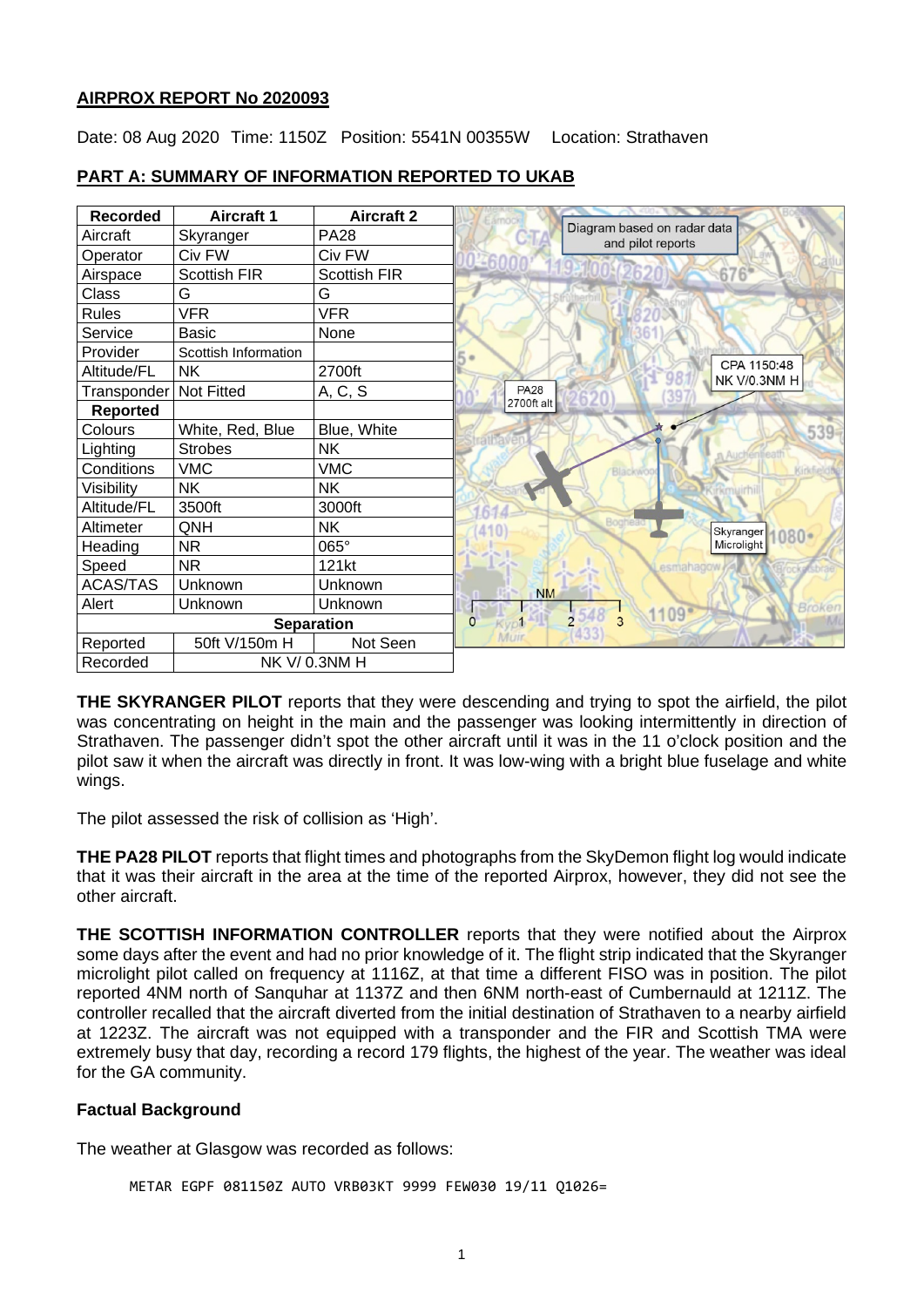### **AIRPROX REPORT No 2020093**

Date: 08 Aug 2020 Time: 1150Z Position: 5541N 00355W Location: Strathaven

| <b>Recorded</b>   | <b>Aircraft 1</b>    | <b>Aircraft 2</b>   |             |                                                  |
|-------------------|----------------------|---------------------|-------------|--------------------------------------------------|
| Aircraft          | Skyranger            | <b>PA28</b>         |             | Diagram based on radar data<br>and pilot reports |
| Operator          | Civ FW               | Civ FW              |             |                                                  |
| Airspace          | <b>Scottish FIR</b>  | <b>Scottish FIR</b> |             | 676                                              |
| Class             | G                    | G                   |             |                                                  |
| Rules             | <b>VFR</b>           | <b>VFR</b>          |             |                                                  |
| Service           | <b>Basic</b>         | None                |             |                                                  |
| Provider          | Scottish Information |                     |             |                                                  |
| Altitude/FL       | <b>NK</b>            | 2700ft              |             | CPA 1150:48<br>NK V/0.3NM H                      |
| Transponder       | <b>Not Fitted</b>    | A, C, S             | <b>PA28</b> |                                                  |
| <b>Reported</b>   |                      |                     | 2700ft alt  |                                                  |
| Colours           | White, Red, Blue     | Blue, White         |             | 539                                              |
| Lighting          | <b>Strobes</b>       | <b>NK</b>           |             |                                                  |
| Conditions        | <b>VMC</b>           | <b>VMC</b>          |             |                                                  |
| Visibility        | <b>NK</b>            | NΚ                  |             |                                                  |
| Altitude/FL       | 3500ft               | 3000ft              |             |                                                  |
| Altimeter         | QNH                  | <b>NK</b>           |             | Bogh<br>Skyranger<br>$080 -$                     |
| Heading           | <b>NR</b>            | 065°                |             | Microlight                                       |
| Speed             | <b>NR</b>            | 121kt               |             |                                                  |
| <b>ACAS/TAS</b>   | Unknown              | Unknown             | <b>NM</b>   |                                                  |
| Alert             | Unknown              | Unknown             |             | Broker<br>1109                                   |
| <b>Separation</b> |                      |                     | 0           | $2548$ 3                                         |
| Reported          | 50ft V/150m H        | Not Seen            | <b>Muir</b> | (433)                                            |
| Recorded          | NK V/0.3NM H         |                     |             |                                                  |

# **PART A: SUMMARY OF INFORMATION REPORTED TO UKAB**

**THE SKYRANGER PILOT** reports that they were descending and trying to spot the airfield, the pilot was concentrating on height in the main and the passenger was looking intermittently in direction of Strathaven. The passenger didn't spot the other aircraft until it was in the 11 o'clock position and the pilot saw it when the aircraft was directly in front. It was low-wing with a bright blue fuselage and white wings.

The pilot assessed the risk of collision as 'High'.

**THE PA28 PILOT** reports that flight times and photographs from the SkyDemon flight log would indicate that it was their aircraft in the area at the time of the reported Airprox, however, they did not see the other aircraft.

**THE SCOTTISH INFORMATION CONTROLLER** reports that they were notified about the Airprox some days after the event and had no prior knowledge of it. The flight strip indicated that the Skyranger microlight pilot called on frequency at 1116Z, at that time a different FISO was in position. The pilot reported 4NM north of Sanquhar at 1137Z and then 6NM north-east of Cumbernauld at 1211Z. The controller recalled that the aircraft diverted from the initial destination of Strathaven to a nearby airfield at 1223Z. The aircraft was not equipped with a transponder and the FIR and Scottish TMA were extremely busy that day, recording a record 179 flights, the highest of the year. The weather was ideal for the GA community.

# **Factual Background**

The weather at Glasgow was recorded as follows:

```
METAR EGPF 081150Z AUTO VRB03KT 9999 FEW030 19/11 Q1026=
```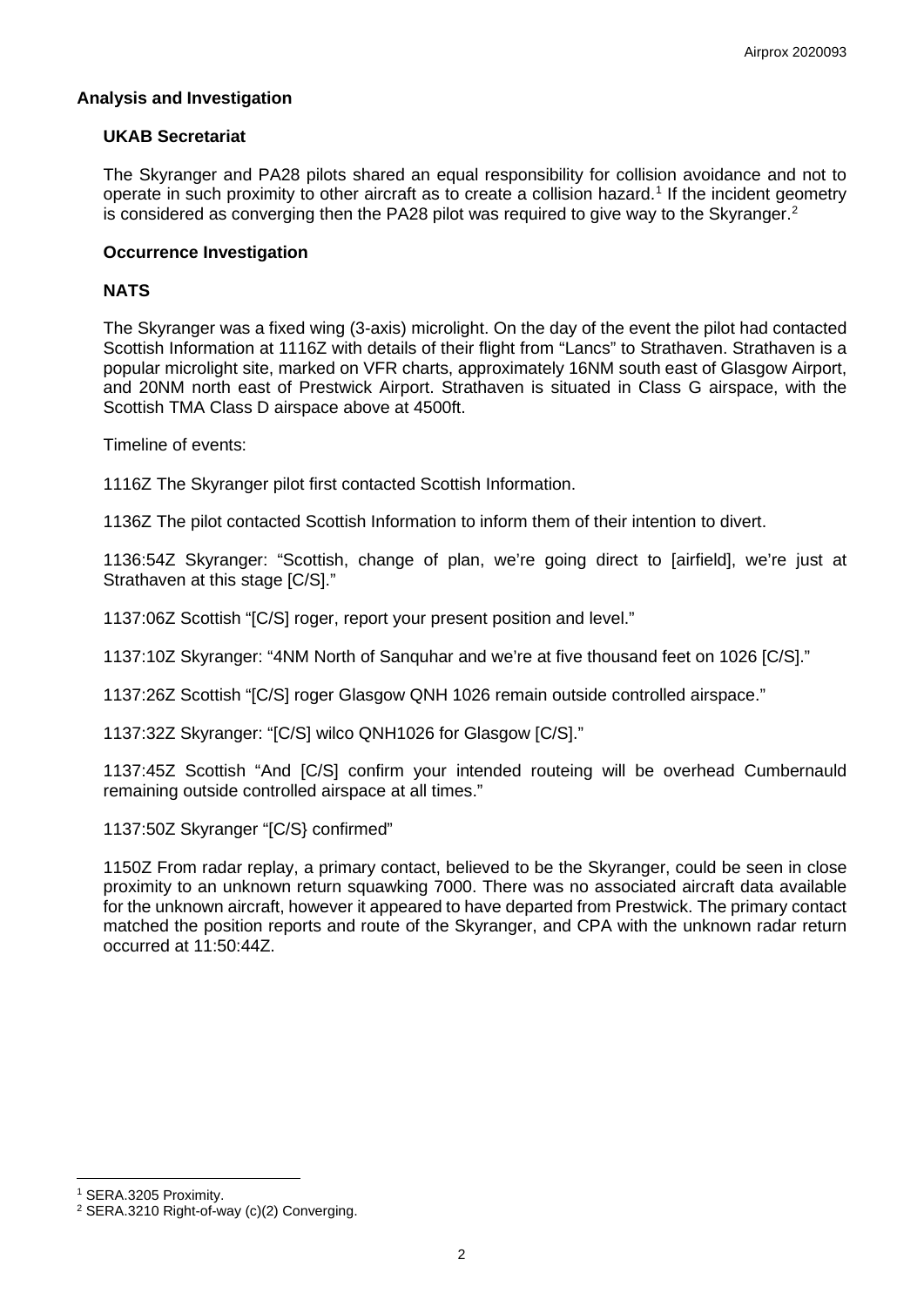# **Analysis and Investigation**

#### **UKAB Secretariat**

The Skyranger and PA28 pilots shared an equal responsibility for collision avoidance and not to operate in such proximity to other aircraft as to create a collision hazard. [1](#page-1-0) If the incident geometry is considered as converging then the PA[2](#page-1-1)8 pilot was required to give way to the Skyranger.<sup>2</sup>

#### **Occurrence Investigation**

### **NATS**

The Skyranger was a fixed wing (3-axis) microlight. On the day of the event the pilot had contacted Scottish Information at 1116Z with details of their flight from "Lancs" to Strathaven. Strathaven is a popular microlight site, marked on VFR charts, approximately 16NM south east of Glasgow Airport, and 20NM north east of Prestwick Airport. Strathaven is situated in Class G airspace, with the Scottish TMA Class D airspace above at 4500ft.

Timeline of events:

1116Z The Skyranger pilot first contacted Scottish Information.

1136Z The pilot contacted Scottish Information to inform them of their intention to divert.

1136:54Z Skyranger: "Scottish, change of plan, we're going direct to [airfield], we're just at Strathaven at this stage  $IC/Sl."$ 

1137:06Z Scottish "[C/S] roger, report your present position and level."

1137:10Z Skyranger: "4NM North of Sanquhar and we're at five thousand feet on 1026 [C/S]."

1137:26Z Scottish "[C/S] roger Glasgow QNH 1026 remain outside controlled airspace."

1137:32Z Skyranger: "[C/S] wilco QNH1026 for Glasgow [C/S]."

1137:45Z Scottish "And [C/S] confirm your intended routeing will be overhead Cumbernauld remaining outside controlled airspace at all times."

1137:50Z Skyranger "[C/S} confirmed"

1150Z From radar replay, a primary contact, believed to be the Skyranger, could be seen in close proximity to an unknown return squawking 7000. There was no associated aircraft data available for the unknown aircraft, however it appeared to have departed from Prestwick. The primary contact matched the position reports and route of the Skyranger, and CPA with the unknown radar return occurred at 11:50:44Z.

<span id="page-1-0"></span><sup>1</sup> SERA.3205 Proximity.

<span id="page-1-1"></span><sup>&</sup>lt;sup>2</sup> SERA.3210 Right-of-way (c)(2) Converging.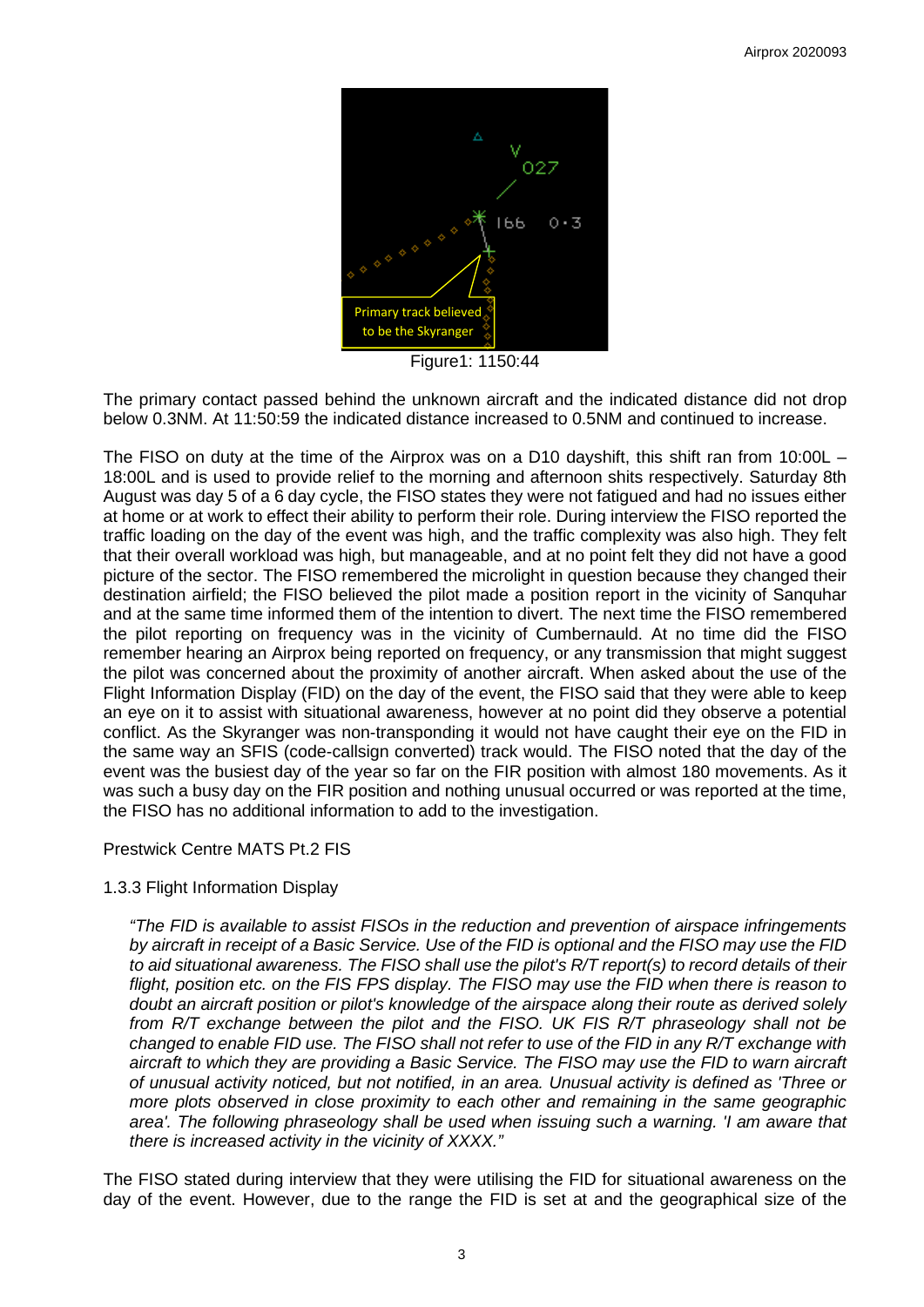

Figure1: 1150:44

The primary contact passed behind the unknown aircraft and the indicated distance did not drop below 0.3NM. At 11:50:59 the indicated distance increased to 0.5NM and continued to increase.

The FISO on duty at the time of the Airprox was on a D10 dayshift, this shift ran from 10:00L – 18:00L and is used to provide relief to the morning and afternoon shits respectively. Saturday 8th August was day 5 of a 6 day cycle, the FISO states they were not fatigued and had no issues either at home or at work to effect their ability to perform their role. During interview the FISO reported the traffic loading on the day of the event was high, and the traffic complexity was also high. They felt that their overall workload was high, but manageable, and at no point felt they did not have a good picture of the sector. The FISO remembered the microlight in question because they changed their destination airfield; the FISO believed the pilot made a position report in the vicinity of Sanquhar and at the same time informed them of the intention to divert. The next time the FISO remembered the pilot reporting on frequency was in the vicinity of Cumbernauld. At no time did the FISO remember hearing an Airprox being reported on frequency, or any transmission that might suggest the pilot was concerned about the proximity of another aircraft. When asked about the use of the Flight Information Display (FID) on the day of the event, the FISO said that they were able to keep an eye on it to assist with situational awareness, however at no point did they observe a potential conflict. As the Skyranger was non-transponding it would not have caught their eye on the FID in the same way an SFIS (code-callsign converted) track would. The FISO noted that the day of the event was the busiest day of the year so far on the FIR position with almost 180 movements. As it was such a busy day on the FIR position and nothing unusual occurred or was reported at the time, the FISO has no additional information to add to the investigation.

# Prestwick Centre MATS Pt.2 FIS

#### 1.3.3 Flight Information Display

*"The FID is available to assist FISOs in the reduction and prevention of airspace infringements by aircraft in receipt of a Basic Service. Use of the FID is optional and the FISO may use the FID to aid situational awareness. The FISO shall use the pilot's R/T report(s) to record details of their flight, position etc. on the FIS FPS display. The FISO may use the FID when there is reason to doubt an aircraft position or pilot's knowledge of the airspace along their route as derived solely from R/T exchange between the pilot and the FISO. UK FIS R/T phraseology shall not be changed to enable FID use. The FISO shall not refer to use of the FID in any R/T exchange with aircraft to which they are providing a Basic Service. The FISO may use the FID to warn aircraft of unusual activity noticed, but not notified, in an area. Unusual activity is defined as 'Three or more plots observed in close proximity to each other and remaining in the same geographic area'. The following phraseology shall be used when issuing such a warning. 'I am aware that there is increased activity in the vicinity of XXXX."* 

The FISO stated during interview that they were utilising the FID for situational awareness on the day of the event. However, due to the range the FID is set at and the geographical size of the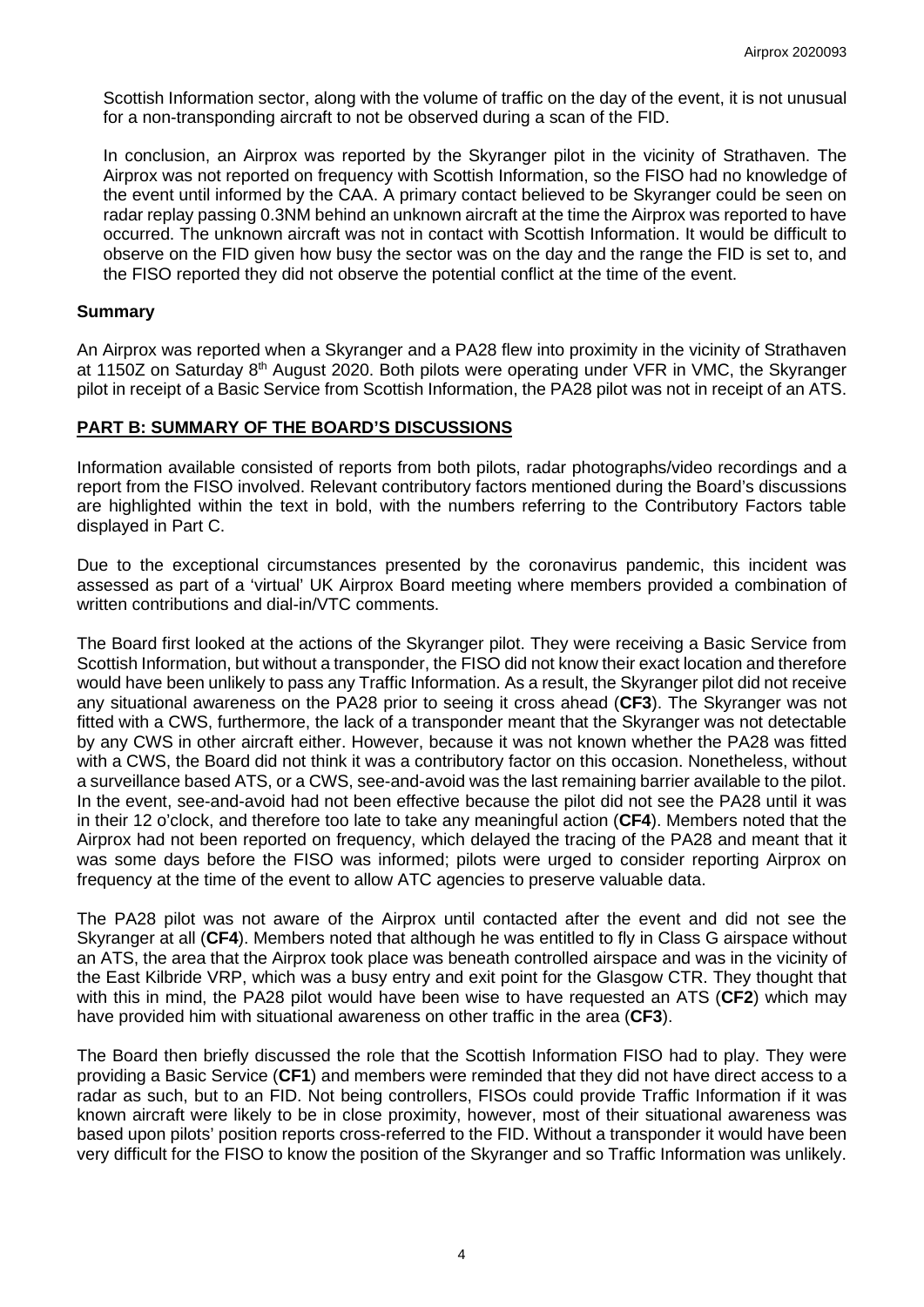Scottish Information sector, along with the volume of traffic on the day of the event, it is not unusual for a non-transponding aircraft to not be observed during a scan of the FID.

In conclusion, an Airprox was reported by the Skyranger pilot in the vicinity of Strathaven. The Airprox was not reported on frequency with Scottish Information, so the FISO had no knowledge of the event until informed by the CAA. A primary contact believed to be Skyranger could be seen on radar replay passing 0.3NM behind an unknown aircraft at the time the Airprox was reported to have occurred. The unknown aircraft was not in contact with Scottish Information. It would be difficult to observe on the FID given how busy the sector was on the day and the range the FID is set to, and the FISO reported they did not observe the potential conflict at the time of the event.

### **Summary**

An Airprox was reported when a Skyranger and a PA28 flew into proximity in the vicinity of Strathaven at 1150Z on Saturday 8<sup>th</sup> August 2020. Both pilots were operating under VFR in VMC, the Skyranger pilot in receipt of a Basic Service from Scottish Information, the PA28 pilot was not in receipt of an ATS.

# **PART B: SUMMARY OF THE BOARD'S DISCUSSIONS**

Information available consisted of reports from both pilots, radar photographs/video recordings and a report from the FISO involved. Relevant contributory factors mentioned during the Board's discussions are highlighted within the text in bold, with the numbers referring to the Contributory Factors table displayed in Part C.

Due to the exceptional circumstances presented by the coronavirus pandemic, this incident was assessed as part of a 'virtual' UK Airprox Board meeting where members provided a combination of written contributions and dial-in/VTC comments.

The Board first looked at the actions of the Skyranger pilot. They were receiving a Basic Service from Scottish Information, but without a transponder, the FISO did not know their exact location and therefore would have been unlikely to pass any Traffic Information. As a result, the Skyranger pilot did not receive any situational awareness on the PA28 prior to seeing it cross ahead (**CF3**). The Skyranger was not fitted with a CWS, furthermore, the lack of a transponder meant that the Skyranger was not detectable by any CWS in other aircraft either. However, because it was not known whether the PA28 was fitted with a CWS, the Board did not think it was a contributory factor on this occasion. Nonetheless, without a surveillance based ATS, or a CWS, see-and-avoid was the last remaining barrier available to the pilot. In the event, see-and-avoid had not been effective because the pilot did not see the PA28 until it was in their 12 o'clock, and therefore too late to take any meaningful action (**CF4**). Members noted that the Airprox had not been reported on frequency, which delayed the tracing of the PA28 and meant that it was some days before the FISO was informed; pilots were urged to consider reporting Airprox on frequency at the time of the event to allow ATC agencies to preserve valuable data.

The PA28 pilot was not aware of the Airprox until contacted after the event and did not see the Skyranger at all (**CF4**). Members noted that although he was entitled to fly in Class G airspace without an ATS, the area that the Airprox took place was beneath controlled airspace and was in the vicinity of the East Kilbride VRP, which was a busy entry and exit point for the Glasgow CTR. They thought that with this in mind, the PA28 pilot would have been wise to have requested an ATS (**CF2**) which may have provided him with situational awareness on other traffic in the area (**CF3**).

The Board then briefly discussed the role that the Scottish Information FISO had to play. They were providing a Basic Service (**CF1**) and members were reminded that they did not have direct access to a radar as such, but to an FID. Not being controllers, FISOs could provide Traffic Information if it was known aircraft were likely to be in close proximity, however, most of their situational awareness was based upon pilots' position reports cross-referred to the FID. Without a transponder it would have been very difficult for the FISO to know the position of the Skyranger and so Traffic Information was unlikely.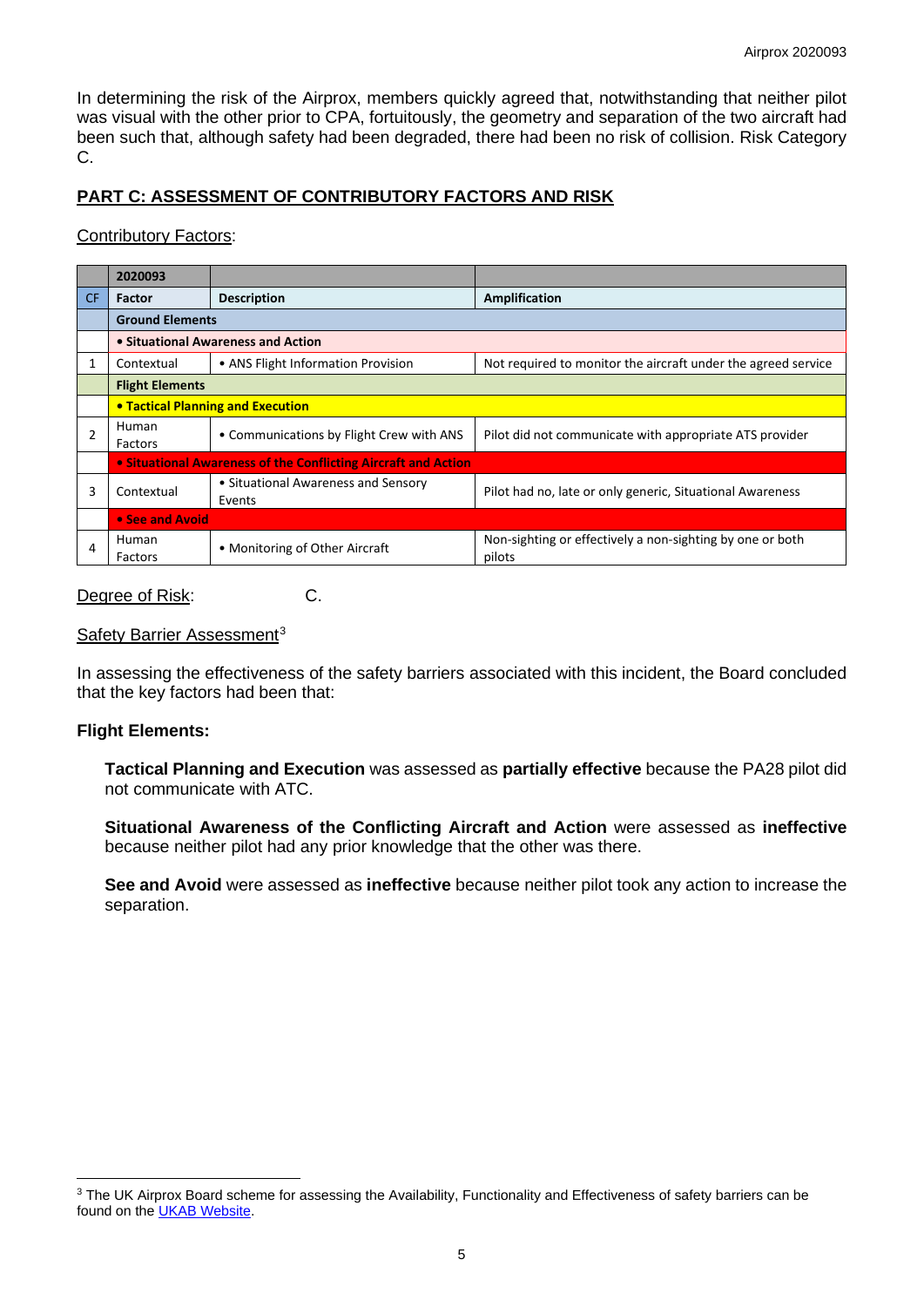In determining the risk of the Airprox, members quickly agreed that, notwithstanding that neither pilot was visual with the other prior to CPA, fortuitously, the geometry and separation of the two aircraft had been such that, although safety had been degraded, there had been no risk of collision. Risk Category C.

# **PART C: ASSESSMENT OF CONTRIBUTORY FACTORS AND RISK**

#### Contributory Factors:

|                | 2020093                            |                                                                |                                                                     |  |  |  |
|----------------|------------------------------------|----------------------------------------------------------------|---------------------------------------------------------------------|--|--|--|
| CF.            | <b>Factor</b>                      | <b>Description</b>                                             | Amplification                                                       |  |  |  |
|                | <b>Ground Elements</b>             |                                                                |                                                                     |  |  |  |
|                | • Situational Awareness and Action |                                                                |                                                                     |  |  |  |
|                | Contextual                         | • ANS Flight Information Provision                             | Not required to monitor the aircraft under the agreed service       |  |  |  |
|                | <b>Flight Elements</b>             |                                                                |                                                                     |  |  |  |
|                |                                    | <b>• Tactical Planning and Execution</b>                       |                                                                     |  |  |  |
| $\mathfrak{p}$ | Human<br>Factors                   | • Communications by Flight Crew with ANS                       | Pilot did not communicate with appropriate ATS provider             |  |  |  |
|                |                                    | • Situational Awareness of the Conflicting Aircraft and Action |                                                                     |  |  |  |
| 3              | Contextual                         | • Situational Awareness and Sensory<br>Events                  | Pilot had no, late or only generic, Situational Awareness           |  |  |  |
|                | • See and Avoid                    |                                                                |                                                                     |  |  |  |
| 4              | Human<br>Factors                   | • Monitoring of Other Aircraft                                 | Non-sighting or effectively a non-sighting by one or both<br>pilots |  |  |  |

#### Degree of Risk: C.

#### Safety Barrier Assessment<sup>[3](#page-4-0)</sup>

In assessing the effectiveness of the safety barriers associated with this incident, the Board concluded that the key factors had been that:

#### **Flight Elements:**

**Tactical Planning and Execution** was assessed as **partially effective** because the PA28 pilot did not communicate with ATC.

**Situational Awareness of the Conflicting Aircraft and Action** were assessed as **ineffective** because neither pilot had any prior knowledge that the other was there.

**See and Avoid** were assessed as **ineffective** because neither pilot took any action to increase the separation.

<span id="page-4-0"></span><sup>&</sup>lt;sup>3</sup> The UK Airprox Board scheme for assessing the Availability, Functionality and Effectiveness of safety barriers can be found on the [UKAB Website.](http://www.airproxboard.org.uk/Learn-more/Airprox-Barrier-Assessment/)